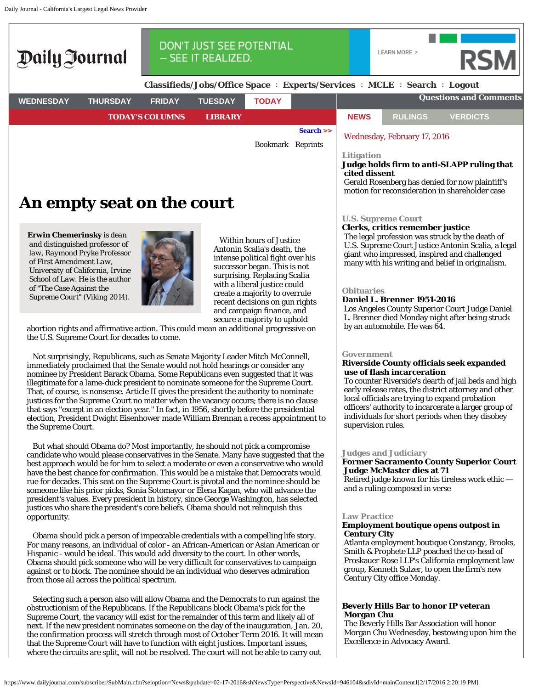Daily Journal - California's Largest Legal News Provider



# **An empty seat on the court**

**Erwin Chemerinsky** *is dean and distinguished professor of law, Raymond Pryke Professor of First Amendment Law, University of California, Irvine School of Law. He is the author of "The Case Against the Supreme Court" (Viking 2014).*



Within hours of Justice Antonin Scalia's death, the intense political fight over his successor began. This is not surprising. Replacing Scalia with a liberal justice could create a majority to overrule recent decisions on gun rights and campaign finance, and secure a majority to uphold

abortion rights and affirmative action. This could mean an additional progressive on the U.S. Supreme Court for decades to come.

Not surprisingly, Republicans, such as Senate Majority Leader Mitch McConnell, immediately proclaimed that the Senate would not hold hearings or consider any nominee by President Barack Obama. Some Republicans even suggested that it was illegitimate for a lame-duck president to nominate someone for the Supreme Court. That, of course, is nonsense. Article II gives the president the authority to nominate justices for the Supreme Court no matter when the vacancy occurs; there is no clause that says "except in an election year." In fact, in 1956, shortly before the presidential election, President Dwight Eisenhower made William Brennan a recess appointment to the Supreme Court.

But what should Obama do? Most importantly, he should not pick a compromise candidate who would please conservatives in the Senate. Many have suggested that the best approach would be for him to select a moderate or even a conservative who would have the best chance for confirmation. This would be a mistake that Democrats would rue for decades. This seat on the Supreme Court is pivotal and the nominee should be someone like his prior picks, Sonia Sotomayor or Elena Kagan, who will advance the president's values. Every president in history, since George Washington, has selected justices who share the president's core beliefs. Obama should not relinquish this opportunity.

Obama should pick a person of impeccable credentials with a compelling life story. For many reasons, an individual of color - an African-American or Asian American or Hispanic - would be ideal. This would add diversity to the court. In other words, Obama should pick someone who will be very difficult for conservatives to campaign against or to block. The nominee should be an individual who deserves admiration from those all across the political spectrum.

Selecting such a person also will allow Obama and the Democrats to run against the obstructionism of the Republicans. If the Republicans block Obama's pick for the Supreme Court, the vacancy will exist for the remainder of this term and likely all of next. If the new president nominates someone on the day of the inauguration, Jan. 20, the confirmation process will stretch through most of October Term 2016. It will mean that the Supreme Court will have to function with eight justices. Important issues, where the circuits are split, will not be resolved. The court will not be able to carry out

## **U.S. Supreme Court**

## **Clerks, critics remember justice**

The legal profession was struck by the death of U.S. Supreme Court Justice Antonin Scalia, a legal giant who impressed, inspired and challenged many with his writing and belief in originalism.

motion for reconsideration in shareholder case

#### **Obituaries**

## **Daniel L. Brenner 1951-2016**

Los Angeles County Superior Court Judge Daniel L. Brenner died Monday night after being struck by an automobile. He was 64.

## **Government**

## **Riverside County officials seek expanded use of flash incarceration**

To counter Riverside's dearth of jail beds and high early release rates, the district attorney and other local officials are trying to expand probation officers' authority to incarcerate a larger group of individuals for short periods when they disobey supervision rules.

## **Judges and Judiciary**

# **Former Sacramento County Superior Court Judge McMaster dies at 71**

Retired judge known for his tireless work ethic and a ruling composed in verse

#### **Law Practice**

## **Employment boutique opens outpost in Century City**

Atlanta employment boutique Constangy, Brooks, Smith & Prophete LLP poached the co-head of Proskauer Rose LLP's California employment law group, Kenneth Sulzer, to open the firm's new Century City office Monday.

# **Beverly Hills Bar to honor IP veteran Morgan Chu**

The Beverly Hills Bar Association will honor Morgan Chu Wednesday, bestowing upon him the Excellence in Advocacy Award.